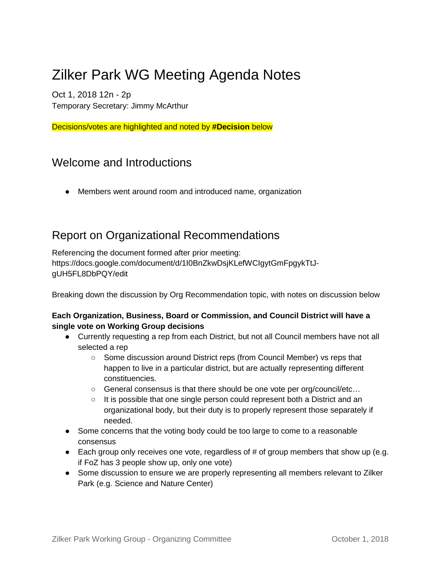# Zilker Park WG Meeting Agenda Notes

Oct 1, 2018 12n - 2p Temporary Secretary: Jimmy McArthur

Decisions/votes are highlighted and noted by **#Decision** below

# Welcome and Introductions

● Members went around room and introduced name, organization

# Report on Organizational Recommendations

Referencing the document formed after prior meeting: https://docs.google.com/document/d/1I0BnZkwDsjKLefWCIgytGmFpgykTtJgUH5FL8DbPQY/edit

Breaking down the discussion by Org Recommendation topic, with notes on discussion below

### **Each Organization, Business, Board or Commission, and Council District will have a single vote on Working Group decisions**

- Currently requesting a rep from each District, but not all Council members have not all selected a rep
	- Some discussion around District reps (from Council Member) vs reps that happen to live in a particular district, but are actually representing different constituencies.
	- General consensus is that there should be one vote per org/council/etc...
	- $\circ$  It is possible that one single person could represent both a District and an organizational body, but their duty is to properly represent those separately if needed.
- Some concerns that the voting body could be too large to come to a reasonable consensus
- Each group only receives one vote, regardless of # of group members that show up (e.g. if FoZ has 3 people show up, only one vote)
- Some discussion to ensure we are properly representing all members relevant to Zilker Park (e.g. Science and Nature Center)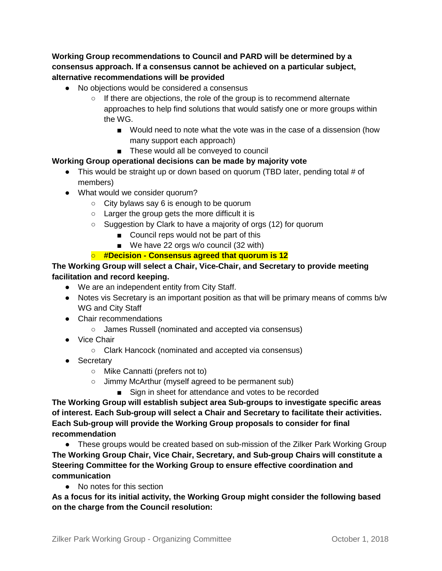**Working Group recommendations to Council and PARD will be determined by a consensus approach. If a consensus cannot be achieved on a particular subject, alternative recommendations will be provided**

- No objections would be considered a consensus
	- If there are objections, the role of the group is to recommend alternate approaches to help find solutions that would satisfy one or more groups within the WG.
		- Would need to note what the vote was in the case of a dissension (how many support each approach)
		- These would all be conveyed to council

#### **Working Group operational decisions can be made by majority vote**

- This would be straight up or down based on quorum (TBD later, pending total # of members)
- What would we consider quorum?
	- $\circ$  City bylaws say 6 is enough to be quorum
	- Larger the group gets the more difficult it is
	- Suggestion by Clark to have a majority of orgs (12) for quorum
		- Council reps would not be part of this
			- We have 22 orgs w/o council (32 with)

### ○ **#Decision - Consensus agreed that quorum is 12**

### **The Working Group will select a Chair, Vice-Chair, and Secretary to provide meeting facilitation and record keeping.**

- We are an independent entity from City Staff.
- Notes vis Secretary is an important position as that will be primary means of comms b/w WG and City Staff
- Chair recommendations
	- James Russell (nominated and accepted via consensus)
- Vice Chair
	- Clark Hancock (nominated and accepted via consensus)
- Secretary
	- Mike Cannatti (prefers not to)
	- Jimmy McArthur (myself agreed to be permanent sub)
		- Sign in sheet for attendance and votes to be recorded

**The Working Group will establish subject area Sub-groups to investigate specific areas of interest. Each Sub-group will select a Chair and Secretary to facilitate their activities. Each Sub-group will provide the Working Group proposals to consider for final recommendation**

• These groups would be created based on sub-mission of the Zilker Park Working Group **The Working Group Chair, Vice Chair, Secretary, and Sub-group Chairs will constitute a Steering Committee for the Working Group to ensure effective coordination and communication**

● No notes for this section

**As a focus for its initial activity, the Working Group might consider the following based on the charge from the Council resolution:**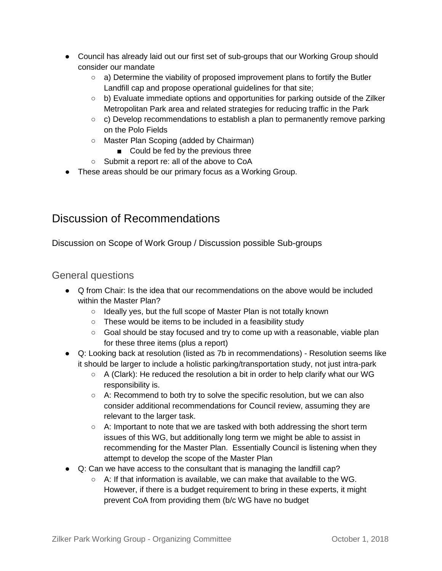- Council has already laid out our first set of sub-groups that our Working Group should consider our mandate
	- $\circ$  a) Determine the viability of proposed improvement plans to fortify the Butler Landfill cap and propose operational guidelines for that site;
	- $\circ$  b) Evaluate immediate options and opportunities for parking outside of the Zilker Metropolitan Park area and related strategies for reducing traffic in the Park
	- $\circ$  c) Develop recommendations to establish a plan to permanently remove parking on the Polo Fields
	- Master Plan Scoping (added by Chairman)
		- Could be fed by the previous three
	- Submit a report re: all of the above to CoA
- These areas should be our primary focus as a Working Group.

# Discussion of Recommendations

Discussion on Scope of Work Group / Discussion possible Sub-groups

### General questions

- Q from Chair: Is the idea that our recommendations on the above would be included within the Master Plan?
	- Ideally yes, but the full scope of Master Plan is not totally known
	- These would be items to be included in a feasibility study
	- Goal should be stay focused and try to come up with a reasonable, viable plan for these three items (plus a report)
- Q: Looking back at resolution (listed as 7b in recommendations) Resolution seems like it should be larger to include a holistic parking/transportation study, not just intra-park
	- A (Clark): He reduced the resolution a bit in order to help clarify what our WG responsibility is.
	- A: Recommend to both try to solve the specific resolution, but we can also consider additional recommendations for Council review, assuming they are relevant to the larger task.
	- $\circ$  A: Important to note that we are tasked with both addressing the short term issues of this WG, but additionally long term we might be able to assist in recommending for the Master Plan. Essentially Council is listening when they attempt to develop the scope of the Master Plan
- Q: Can we have access to the consultant that is managing the landfill cap?
	- A: If that information is available, we can make that available to the WG. However, if there is a budget requirement to bring in these experts, it might prevent CoA from providing them (b/c WG have no budget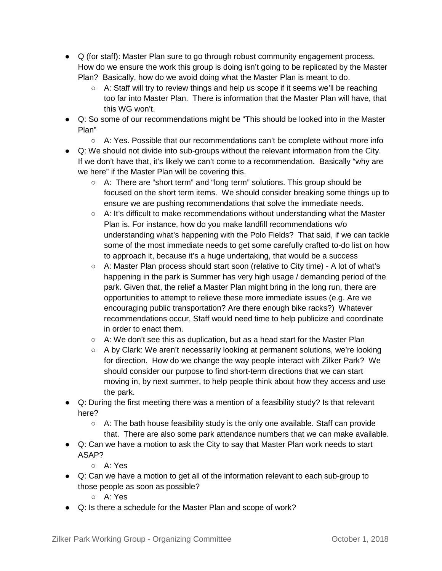- Q (for staff): Master Plan sure to go through robust community engagement process. How do we ensure the work this group is doing isn't going to be replicated by the Master Plan? Basically, how do we avoid doing what the Master Plan is meant to do.
	- $\circ$  A: Staff will try to review things and help us scope if it seems we'll be reaching too far into Master Plan. There is information that the Master Plan will have, that this WG won't.
- Q: So some of our recommendations might be "This should be looked into in the Master Plan"
	- $\circ$  A: Yes. Possible that our recommendations can't be complete without more info
- Q: We should not divide into sub-groups without the relevant information from the City. If we don't have that, it's likely we can't come to a recommendation. Basically "why are we here" if the Master Plan will be covering this.
	- A: There are "short term" and "long term" solutions. This group should be focused on the short term items. We should consider breaking some things up to ensure we are pushing recommendations that solve the immediate needs.
	- A: It's difficult to make recommendations without understanding what the Master Plan is. For instance, how do you make landfill recommendations w/o understanding what's happening with the Polo Fields? That said, if we can tackle some of the most immediate needs to get some carefully crafted to-do list on how to approach it, because it's a huge undertaking, that would be a success
	- A: Master Plan process should start soon (relative to City time) A lot of what's happening in the park is Summer has very high usage / demanding period of the park. Given that, the relief a Master Plan might bring in the long run, there are opportunities to attempt to relieve these more immediate issues (e.g. Are we encouraging public transportation? Are there enough bike racks?) Whatever recommendations occur, Staff would need time to help publicize and coordinate in order to enact them.
	- $\circ$  A: We don't see this as duplication, but as a head start for the Master Plan
	- A by Clark: We aren't necessarily looking at permanent solutions, we're looking for direction. How do we change the way people interact with Zilker Park? We should consider our purpose to find short-term directions that we can start moving in, by next summer, to help people think about how they access and use the park.
- Q: During the first meeting there was a mention of a feasibility study? Is that relevant here?
	- $\circ$  A: The bath house feasibility study is the only one available. Staff can provide that. There are also some park attendance numbers that we can make available.
- Q: Can we have a motion to ask the City to say that Master Plan work needs to start ASAP?
	- A: Yes
- Q: Can we have a motion to get all of the information relevant to each sub-group to those people as soon as possible?
	- A: Yes
- Q: Is there a schedule for the Master Plan and scope of work?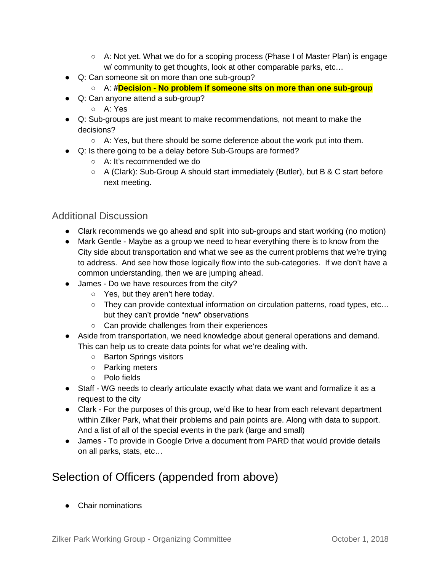- A: Not yet. What we do for a scoping process (Phase I of Master Plan) is engage w/ community to get thoughts, look at other comparable parks, etc…
- Q: Can someone sit on more than one sub-group?
	- A: **#Decision - No problem if someone sits on more than one sub-group**
- Q: Can anyone attend a sub-group?
	- A: Yes
- Q: Sub-groups are just meant to make recommendations, not meant to make the decisions?
	- $\circ$  A: Yes, but there should be some deference about the work put into them.
- Q: Is there going to be a delay before Sub-Groups are formed?
	- A: It's recommended we do
	- A (Clark): Sub-Group A should start immediately (Butler), but B & C start before next meeting.

### Additional Discussion

- Clark recommends we go ahead and split into sub-groups and start working (no motion)
- Mark Gentle Maybe as a group we need to hear everything there is to know from the City side about transportation and what we see as the current problems that we're trying to address. And see how those logically flow into the sub-categories. If we don't have a common understanding, then we are jumping ahead.
- James Do we have resources from the city?
	- Yes, but they aren't here today.
	- They can provide contextual information on circulation patterns, road types, etc… but they can't provide "new" observations
	- Can provide challenges from their experiences
- Aside from transportation, we need knowledge about general operations and demand. This can help us to create data points for what we're dealing with.
	- Barton Springs visitors
	- Parking meters
	- Polo fields
- Staff WG needs to clearly articulate exactly what data we want and formalize it as a request to the city
- Clark For the purposes of this group, we'd like to hear from each relevant department within Zilker Park, what their problems and pain points are. Along with data to support. And a list of all of the special events in the park (large and small)
- James To provide in Google Drive a document from PARD that would provide details on all parks, stats, etc…

### Selection of Officers (appended from above)

● Chair nominations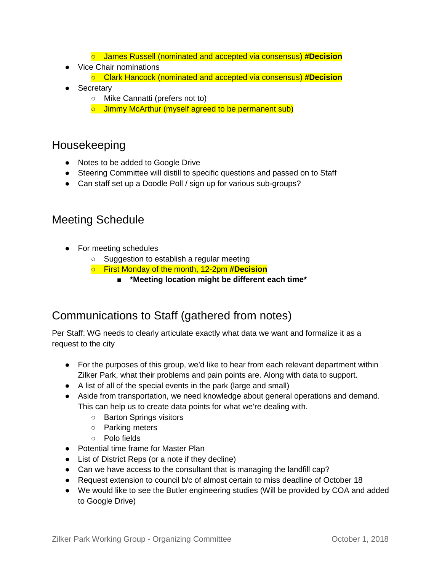- James Russell (nominated and accepted via consensus) **#Decision**
- Vice Chair nominations
	- Clark Hancock (nominated and accepted via consensus) **#Decision**
- Secretary
	- Mike Cannatti (prefers not to)
	- Jimmy McArthur (myself agreed to be permanent sub)

### Housekeeping

- Notes to be added to Google Drive
- Steering Committee will distill to specific questions and passed on to Staff
- Can staff set up a Doodle Poll / sign up for various sub-groups?

### Meeting Schedule

- For meeting schedules
	- Suggestion to establish a regular meeting
	- First Monday of the month, 12-2pm **#Decision**
		- **\*Meeting location might be different each time\***

### Communications to Staff (gathered from notes)

Per Staff: WG needs to clearly articulate exactly what data we want and formalize it as a request to the city

- For the purposes of this group, we'd like to hear from each relevant department within Zilker Park, what their problems and pain points are. Along with data to support.
- A list of all of the special events in the park (large and small)
- Aside from transportation, we need knowledge about general operations and demand. This can help us to create data points for what we're dealing with.
	- Barton Springs visitors
	- Parking meters
	- Polo fields
- Potential time frame for Master Plan
- List of District Reps (or a note if they decline)
- Can we have access to the consultant that is managing the landfill cap?
- Request extension to council b/c of almost certain to miss deadline of October 18
- We would like to see the Butler engineering studies (Will be provided by COA and added to Google Drive)